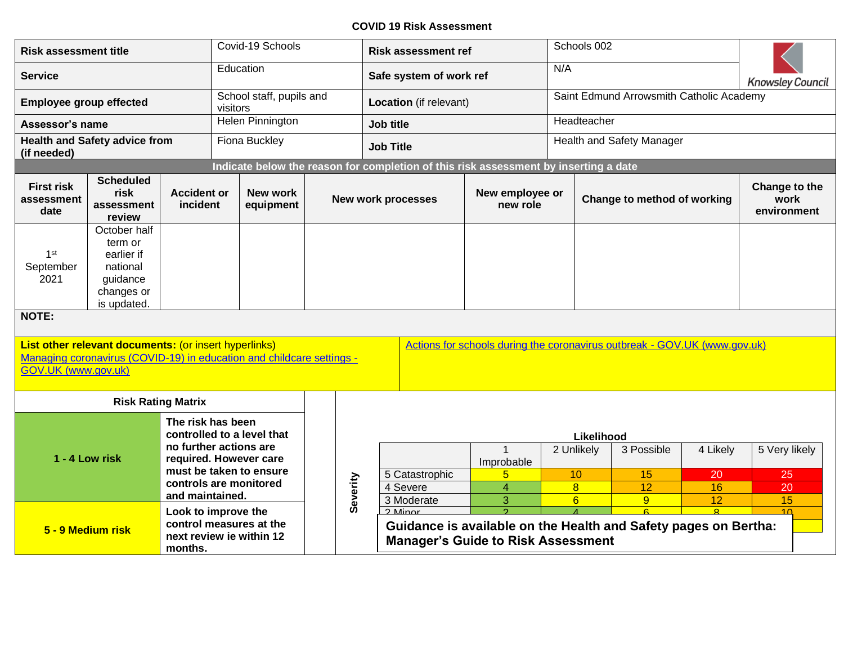## **COVID 19 Risk Assessment**

| <b>Risk assessment title</b>         |                                                                                                                                |                                                  | Covid-19 Schools |                            |                  |           | <b>Risk assessment ref</b>                                           |                                                                                      |                             | Schools 002               |                                                                                   |                                                                           |          |                                      |  |
|--------------------------------------|--------------------------------------------------------------------------------------------------------------------------------|--------------------------------------------------|------------------|----------------------------|------------------|-----------|----------------------------------------------------------------------|--------------------------------------------------------------------------------------|-----------------------------|---------------------------|-----------------------------------------------------------------------------------|---------------------------------------------------------------------------|----------|--------------------------------------|--|
| <b>Service</b>                       |                                                                                                                                |                                                  |                  | Education                  |                  |           |                                                                      | Safe system of work ref                                                              |                             | N/A                       |                                                                                   |                                                                           |          | <b>Knowsley Council</b>              |  |
| <b>Employee group effected</b>       |                                                                                                                                |                                                  | visitors         | School staff, pupils and   |                  |           |                                                                      | Location (if relevant)                                                               |                             |                           | Saint Edmund Arrowsmith Catholic Academy                                          |                                                                           |          |                                      |  |
| Assessor's name                      |                                                                                                                                |                                                  |                  | Helen Pinnington           |                  | Job title |                                                                      |                                                                                      |                             |                           | Headteacher                                                                       |                                                                           |          |                                      |  |
| (if needed)                          | <b>Health and Safety advice from</b>                                                                                           |                                                  |                  | Fiona Buckley              | <b>Job Title</b> |           |                                                                      |                                                                                      |                             | Health and Safety Manager |                                                                                   |                                                                           |          |                                      |  |
|                                      |                                                                                                                                |                                                  |                  |                            |                  |           |                                                                      | Indicate below the reason for completion of this risk assessment by inserting a date |                             |                           |                                                                                   |                                                                           |          |                                      |  |
| First risk<br>assessment<br>date     | <b>Scheduled</b><br>risk<br>assessment<br>review                                                                               | <b>Accident or</b><br>incident                   |                  | New work<br>equipment      |                  |           |                                                                      | <b>New work processes</b>                                                            | New employee or<br>new role |                           |                                                                                   | Change to method of working                                               |          | Change to the<br>work<br>environment |  |
| 1 <sup>st</sup><br>September<br>2021 | October half<br>term or<br>earlier if<br>national<br>guidance<br>changes or<br>is updated.                                     |                                                  |                  |                            |                  |           |                                                                      |                                                                                      |                             |                           |                                                                                   |                                                                           |          |                                      |  |
| NOTE:                                |                                                                                                                                |                                                  |                  |                            |                  |           |                                                                      |                                                                                      |                             |                           |                                                                                   |                                                                           |          |                                      |  |
| GOV.UK (www.gov.uk)                  | List other relevant documents: (or insert hyperlinks)<br>Managing coronavirus (COVID-19) in education and childcare settings - |                                                  |                  |                            |                  |           |                                                                      |                                                                                      |                             |                           |                                                                                   | Actions for schools during the coronavirus outbreak - GOV.UK (www.gov.uk) |          |                                      |  |
|                                      | <b>Risk Rating Matrix</b>                                                                                                      |                                                  |                  |                            |                  |           |                                                                      |                                                                                      |                             |                           |                                                                                   |                                                                           |          |                                      |  |
|                                      |                                                                                                                                | The risk has been                                |                  | controlled to a level that |                  |           |                                                                      |                                                                                      |                             |                           | Likelihood                                                                        |                                                                           |          |                                      |  |
| 1 - 4 Low risk                       |                                                                                                                                | no further actions are<br>required. However care |                  |                            |                  |           |                                                                      |                                                                                      | Improbable                  |                           | 2 Unlikely                                                                        | 3 Possible                                                                | 4 Likely | 5 Very likely                        |  |
|                                      |                                                                                                                                | controls are monitored                           |                  | must be taken to ensure    |                  | Severity  |                                                                      | 5 Catastrophic<br>4 Severe                                                           | 5<br>$\overline{4}$         |                           | 10<br>$\overline{8}$                                                              | 15<br>12                                                                  | 20<br>16 | 25<br>20                             |  |
|                                      | and maintained.<br>Look to improve the<br>control measures at the<br>5 - 9 Medium risk<br>next review ie within 12<br>months.  |                                                  |                  |                            |                  |           | 3 Moderate<br>$2$ Minor<br><b>Manager's Guide to Risk Assessment</b> | 3                                                                                    |                             | $6\overline{6}$           | $\overline{9}$<br>Guidance is available on the Health and Safety pages on Bertha: | 12                                                                        | 15<br>10 |                                      |  |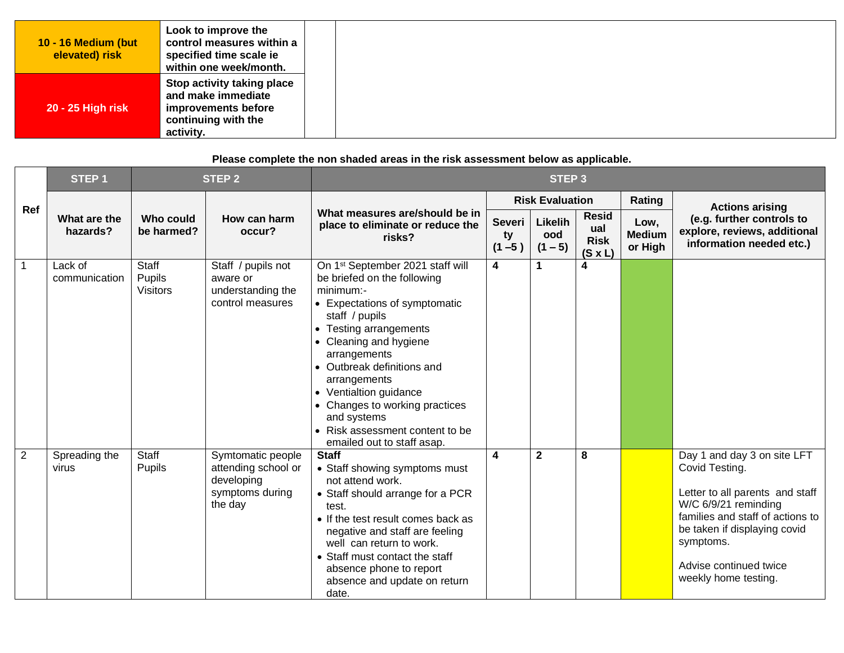## **Please complete the non shaded areas in the risk assessment below as applicable.**

|     | STEP <sub>1</sub>        |                                    | <b>STEP 2</b>                                                                        |                                                                                                                                                                                                                                                                                                                                                                                                           |                                  |                             |                                                      |                                  |                                                                                                                                                                                                                                             |
|-----|--------------------------|------------------------------------|--------------------------------------------------------------------------------------|-----------------------------------------------------------------------------------------------------------------------------------------------------------------------------------------------------------------------------------------------------------------------------------------------------------------------------------------------------------------------------------------------------------|----------------------------------|-----------------------------|------------------------------------------------------|----------------------------------|---------------------------------------------------------------------------------------------------------------------------------------------------------------------------------------------------------------------------------------------|
|     |                          |                                    |                                                                                      |                                                                                                                                                                                                                                                                                                                                                                                                           |                                  | <b>Risk Evaluation</b>      |                                                      | Rating                           | <b>Actions arising</b>                                                                                                                                                                                                                      |
| Ref | What are the<br>hazards? | Who could<br>be harmed?            | How can harm<br>occur?                                                               | What measures are/should be in<br>place to eliminate or reduce the<br>risks?                                                                                                                                                                                                                                                                                                                              | <b>Severi</b><br>ty<br>$(1 - 5)$ | Likelih<br>ood<br>$(1 - 5)$ | <b>Resid</b><br>ual<br><b>Risk</b><br>$(S \times L)$ | Low,<br><b>Medium</b><br>or High | (e.g. further controls to<br>explore, reviews, additional<br>information needed etc.)                                                                                                                                                       |
| 1   | Lack of<br>communication | Staff<br>Pupils<br><b>Visitors</b> | Staff / pupils not<br>aware or<br>understanding the<br>control measures              | On 1 <sup>st</sup> September 2021 staff will<br>be briefed on the following<br>minimum:-<br>• Expectations of symptomatic<br>staff / pupils<br>• Testing arrangements<br>• Cleaning and hygiene<br>arrangements<br>• Outbreak definitions and<br>arrangements<br>• Ventialtion guidance<br>• Changes to working practices<br>and systems<br>• Risk assessment content to be<br>emailed out to staff asap. | 4                                | $\mathbf 1$                 | 4                                                    |                                  |                                                                                                                                                                                                                                             |
| 2   | Spreading the<br>virus   | Staff<br><b>Pupils</b>             | Symtomatic people<br>attending school or<br>developing<br>symptoms during<br>the day | <b>Staff</b><br>• Staff showing symptoms must<br>not attend work.<br>• Staff should arrange for a PCR<br>test.<br>• If the test result comes back as<br>negative and staff are feeling<br>well can return to work.<br>• Staff must contact the staff<br>absence phone to report<br>absence and update on return<br>date.                                                                                  | $\overline{\mathbf{4}}$          | $\mathbf{2}$                | 8                                                    |                                  | Day 1 and day 3 on site LFT<br>Covid Testing.<br>Letter to all parents and staff<br>W/C 6/9/21 reminding<br>families and staff of actions to<br>be taken if displaying covid<br>symptoms.<br>Advise continued twice<br>weekly home testing. |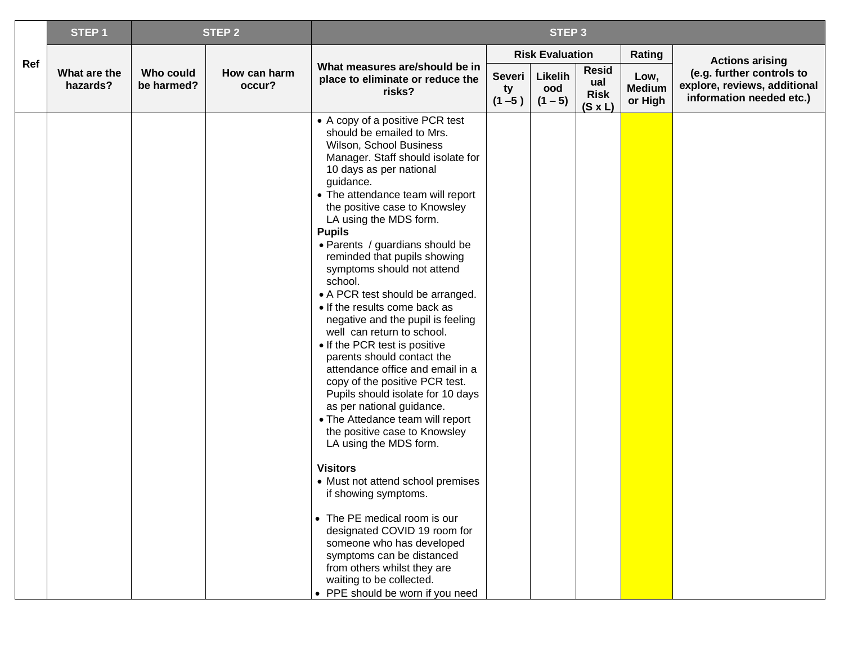|     | STEP <sub>1</sub>        |                         | <b>STEP 2</b>          | STEP <sub>3</sub>                                                                                                                                                                                                                                                                                                                                                                                                                                                                                                                                                                                                                                                                                                                                                                                                                                                                                                                                                                                                                                                                                                                                        |                                  |                             |                                                      |                                  |                                                                                       |
|-----|--------------------------|-------------------------|------------------------|----------------------------------------------------------------------------------------------------------------------------------------------------------------------------------------------------------------------------------------------------------------------------------------------------------------------------------------------------------------------------------------------------------------------------------------------------------------------------------------------------------------------------------------------------------------------------------------------------------------------------------------------------------------------------------------------------------------------------------------------------------------------------------------------------------------------------------------------------------------------------------------------------------------------------------------------------------------------------------------------------------------------------------------------------------------------------------------------------------------------------------------------------------|----------------------------------|-----------------------------|------------------------------------------------------|----------------------------------|---------------------------------------------------------------------------------------|
|     |                          |                         |                        |                                                                                                                                                                                                                                                                                                                                                                                                                                                                                                                                                                                                                                                                                                                                                                                                                                                                                                                                                                                                                                                                                                                                                          |                                  | <b>Risk Evaluation</b>      |                                                      | Rating                           | <b>Actions arising</b>                                                                |
| Ref | What are the<br>hazards? | Who could<br>be harmed? | How can harm<br>occur? | What measures are/should be in<br>place to eliminate or reduce the<br>risks?                                                                                                                                                                                                                                                                                                                                                                                                                                                                                                                                                                                                                                                                                                                                                                                                                                                                                                                                                                                                                                                                             | <b>Severi</b><br>ty<br>$(1 - 5)$ | Likelih<br>ood<br>$(1 - 5)$ | <b>Resid</b><br>ual<br><b>Risk</b><br>$(S \times L)$ | Low,<br><b>Medium</b><br>or High | (e.g. further controls to<br>explore, reviews, additional<br>information needed etc.) |
|     |                          |                         |                        | • A copy of a positive PCR test<br>should be emailed to Mrs.<br>Wilson, School Business<br>Manager. Staff should isolate for<br>10 days as per national<br>guidance.<br>• The attendance team will report<br>the positive case to Knowsley<br>LA using the MDS form.<br><b>Pupils</b><br>· Parents / guardians should be<br>reminded that pupils showing<br>symptoms should not attend<br>school.<br>• A PCR test should be arranged.<br>• If the results come back as<br>negative and the pupil is feeling<br>well can return to school.<br>• If the PCR test is positive<br>parents should contact the<br>attendance office and email in a<br>copy of the positive PCR test.<br>Pupils should isolate for 10 days<br>as per national guidance.<br>• The Attedance team will report<br>the positive case to Knowsley<br>LA using the MDS form.<br><b>Visitors</b><br>• Must not attend school premises<br>if showing symptoms.<br>• The PE medical room is our<br>designated COVID 19 room for<br>someone who has developed<br>symptoms can be distanced<br>from others whilst they are<br>waiting to be collected.<br>• PPE should be worn if you need |                                  |                             |                                                      |                                  |                                                                                       |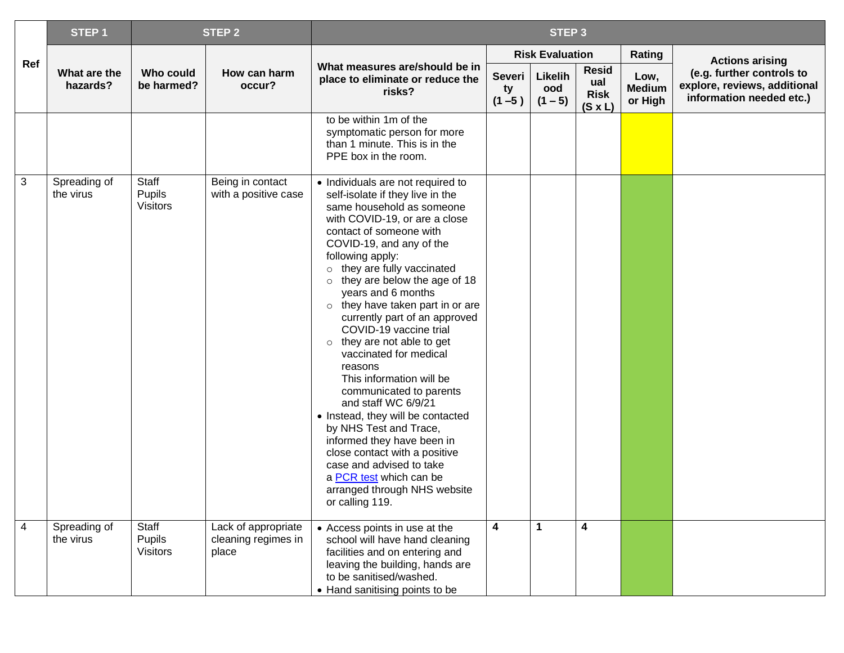|     | STEP <sub>1</sub>         |                                    | <b>STEP 2</b>                                       | STEP <sub>3</sub>                                                                                                                                                                                                                                                                                                                                                                                                                                                                                                                                                                                                                                                                                                                                                                                         |                           |                             |                                                      |                                  |                                                                                       |
|-----|---------------------------|------------------------------------|-----------------------------------------------------|-----------------------------------------------------------------------------------------------------------------------------------------------------------------------------------------------------------------------------------------------------------------------------------------------------------------------------------------------------------------------------------------------------------------------------------------------------------------------------------------------------------------------------------------------------------------------------------------------------------------------------------------------------------------------------------------------------------------------------------------------------------------------------------------------------------|---------------------------|-----------------------------|------------------------------------------------------|----------------------------------|---------------------------------------------------------------------------------------|
|     |                           |                                    |                                                     |                                                                                                                                                                                                                                                                                                                                                                                                                                                                                                                                                                                                                                                                                                                                                                                                           |                           | <b>Risk Evaluation</b>      |                                                      | Rating                           | <b>Actions arising</b>                                                                |
| Ref | What are the<br>hazards?  | Who could<br>be harmed?            | How can harm<br>occur?                              | What measures are/should be in<br>place to eliminate or reduce the<br>risks?                                                                                                                                                                                                                                                                                                                                                                                                                                                                                                                                                                                                                                                                                                                              | Severi<br>ty<br>$(1 - 5)$ | Likelih<br>ood<br>$(1 - 5)$ | <b>Resid</b><br>ual<br><b>Risk</b><br>$(S \times L)$ | Low,<br><b>Medium</b><br>or High | (e.g. further controls to<br>explore, reviews, additional<br>information needed etc.) |
|     |                           |                                    |                                                     | to be within 1m of the<br>symptomatic person for more<br>than 1 minute. This is in the<br>PPE box in the room.                                                                                                                                                                                                                                                                                                                                                                                                                                                                                                                                                                                                                                                                                            |                           |                             |                                                      |                                  |                                                                                       |
| 3   | Spreading of<br>the virus | Staff<br>Pupils<br><b>Visitors</b> | Being in contact<br>with a positive case            | • Individuals are not required to<br>self-isolate if they live in the<br>same household as someone<br>with COVID-19, or are a close<br>contact of someone with<br>COVID-19, and any of the<br>following apply:<br>o they are fully vaccinated<br>$\circ$ they are below the age of 18<br>years and 6 months<br>o they have taken part in or are<br>currently part of an approved<br>COVID-19 vaccine trial<br>$\circ$ they are not able to get<br>vaccinated for medical<br>reasons<br>This information will be<br>communicated to parents<br>and staff WC 6/9/21<br>• Instead, they will be contacted<br>by NHS Test and Trace,<br>informed they have been in<br>close contact with a positive<br>case and advised to take<br>a PCR test which can be<br>arranged through NHS website<br>or calling 119. |                           |                             |                                                      |                                  |                                                                                       |
| 4   | Spreading of<br>the virus | Staff<br>Pupils<br><b>Visitors</b> | Lack of appropriate<br>cleaning regimes in<br>place | • Access points in use at the<br>school will have hand cleaning<br>facilities and on entering and<br>leaving the building, hands are<br>to be sanitised/washed.<br>• Hand sanitising points to be                                                                                                                                                                                                                                                                                                                                                                                                                                                                                                                                                                                                         | $\boldsymbol{4}$          | $\mathbf{1}$                | $\boldsymbol{4}$                                     |                                  |                                                                                       |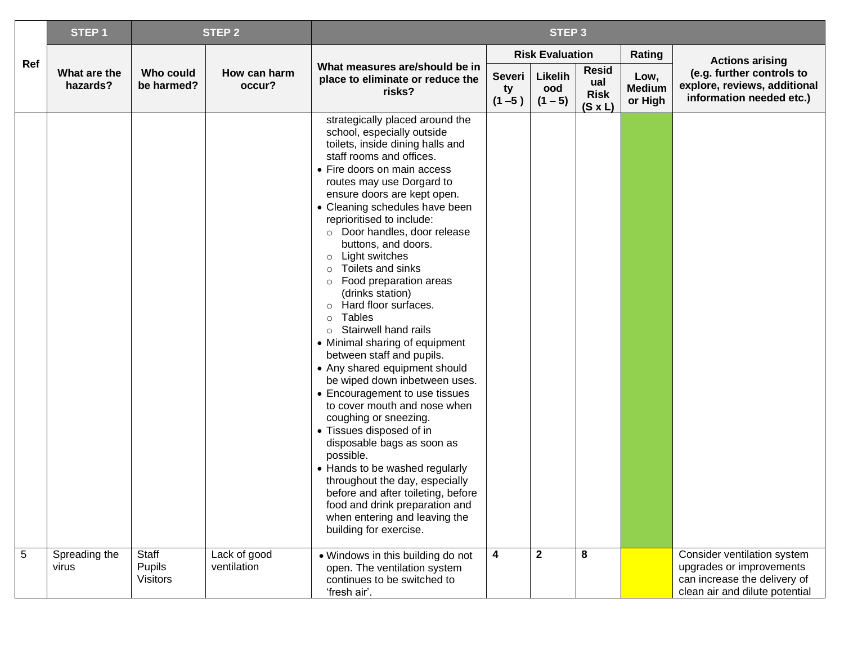|                | STEP <sub>1</sub>        |                                    | <b>STEP 2</b>               | STEP <sub>3</sub>                                                                                                                                                                                                                                                                                                                                                                                                                                                                                                                                                                                                                                                                                                                                                                                                                                                                                                                                                                                                                                  |                                  |                             |                                                      |                                  |                                                                                                                           |
|----------------|--------------------------|------------------------------------|-----------------------------|----------------------------------------------------------------------------------------------------------------------------------------------------------------------------------------------------------------------------------------------------------------------------------------------------------------------------------------------------------------------------------------------------------------------------------------------------------------------------------------------------------------------------------------------------------------------------------------------------------------------------------------------------------------------------------------------------------------------------------------------------------------------------------------------------------------------------------------------------------------------------------------------------------------------------------------------------------------------------------------------------------------------------------------------------|----------------------------------|-----------------------------|------------------------------------------------------|----------------------------------|---------------------------------------------------------------------------------------------------------------------------|
|                |                          |                                    |                             |                                                                                                                                                                                                                                                                                                                                                                                                                                                                                                                                                                                                                                                                                                                                                                                                                                                                                                                                                                                                                                                    |                                  | <b>Risk Evaluation</b>      |                                                      | Rating                           | <b>Actions arising</b>                                                                                                    |
| Ref            | What are the<br>hazards? | Who could<br>be harmed?            | How can harm<br>occur?      | What measures are/should be in<br>place to eliminate or reduce the<br>risks?                                                                                                                                                                                                                                                                                                                                                                                                                                                                                                                                                                                                                                                                                                                                                                                                                                                                                                                                                                       | <b>Severi</b><br>ty<br>$(1 - 5)$ | Likelih<br>ood<br>$(1 - 5)$ | <b>Resid</b><br>ual<br><b>Risk</b><br>$(S \times L)$ | Low,<br><b>Medium</b><br>or High | (e.g. further controls to<br>explore, reviews, additional<br>information needed etc.)                                     |
|                |                          |                                    |                             | strategically placed around the<br>school, especially outside<br>toilets, inside dining halls and<br>staff rooms and offices.<br>• Fire doors on main access<br>routes may use Dorgard to<br>ensure doors are kept open.<br>• Cleaning schedules have been<br>reprioritised to include:<br>o Door handles, door release<br>buttons, and doors.<br>o Light switches<br>Toilets and sinks<br>$\circ$<br>o Food preparation areas<br>(drinks station)<br>o Hard floor surfaces.<br><b>Tables</b><br>$\circ$<br>$\circ$ Stairwell hand rails<br>• Minimal sharing of equipment<br>between staff and pupils.<br>• Any shared equipment should<br>be wiped down inbetween uses.<br>• Encouragement to use tissues<br>to cover mouth and nose when<br>coughing or sneezing.<br>• Tissues disposed of in<br>disposable bags as soon as<br>possible.<br>• Hands to be washed regularly<br>throughout the day, especially<br>before and after toileting, before<br>food and drink preparation and<br>when entering and leaving the<br>building for exercise. |                                  |                             |                                                      |                                  |                                                                                                                           |
| $\overline{5}$ | Spreading the<br>virus   | Staff<br>Pupils<br><b>Visitors</b> | Lack of good<br>ventilation | • Windows in this building do not<br>open. The ventilation system<br>continues to be switched to<br>'fresh air'.                                                                                                                                                                                                                                                                                                                                                                                                                                                                                                                                                                                                                                                                                                                                                                                                                                                                                                                                   | 4                                | $\mathbf{2}$                | 8                                                    |                                  | Consider ventilation system<br>upgrades or improvements<br>can increase the delivery of<br>clean air and dilute potential |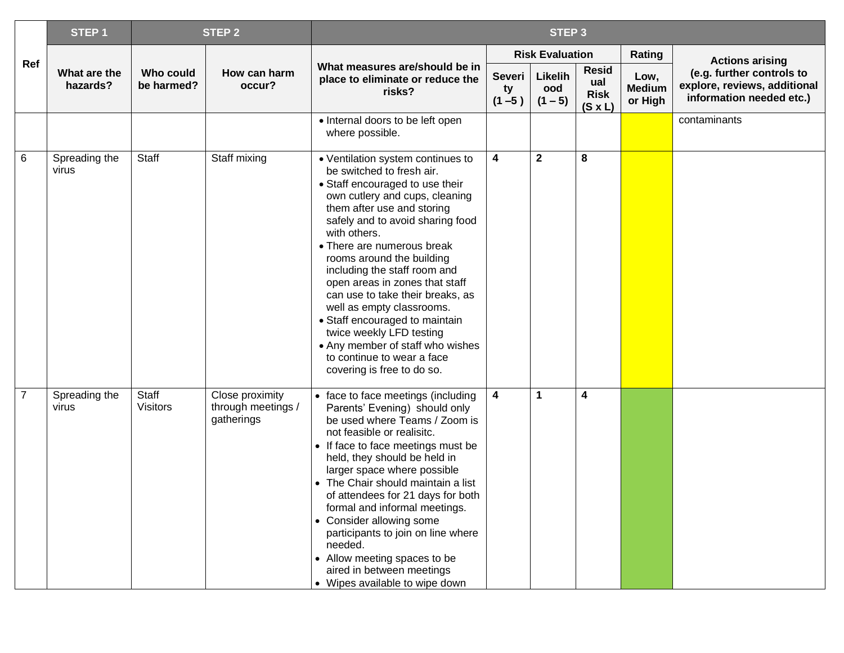|                | STEP <sub>1</sub>        |                          | <b>STEP 2</b>                                       | STEP <sub>3</sub>                                                                                                                                                                                                                                                                                                                                                                                                                                                                                                                                                                 |                           |                             |                                                      |                                  |                                                                                       |  |
|----------------|--------------------------|--------------------------|-----------------------------------------------------|-----------------------------------------------------------------------------------------------------------------------------------------------------------------------------------------------------------------------------------------------------------------------------------------------------------------------------------------------------------------------------------------------------------------------------------------------------------------------------------------------------------------------------------------------------------------------------------|---------------------------|-----------------------------|------------------------------------------------------|----------------------------------|---------------------------------------------------------------------------------------|--|
|                |                          |                          |                                                     |                                                                                                                                                                                                                                                                                                                                                                                                                                                                                                                                                                                   |                           | <b>Risk Evaluation</b>      |                                                      | Rating                           | <b>Actions arising</b>                                                                |  |
| Ref            | What are the<br>hazards? | Who could<br>be harmed?  | How can harm<br>occur?                              | What measures are/should be in<br>place to eliminate or reduce the<br>risks?                                                                                                                                                                                                                                                                                                                                                                                                                                                                                                      | Severi<br>ty<br>$(1 - 5)$ | Likelih<br>ood<br>$(1 - 5)$ | <b>Resid</b><br>ual<br><b>Risk</b><br>$(S \times L)$ | Low,<br><b>Medium</b><br>or High | (e.g. further controls to<br>explore, reviews, additional<br>information needed etc.) |  |
|                |                          |                          |                                                     | • Internal doors to be left open<br>where possible.                                                                                                                                                                                                                                                                                                                                                                                                                                                                                                                               |                           |                             |                                                      |                                  | contaminants                                                                          |  |
| 6              | Spreading the<br>virus   | Staff                    | Staff mixing                                        | • Ventilation system continues to<br>be switched to fresh air.<br>• Staff encouraged to use their<br>own cutlery and cups, cleaning<br>them after use and storing<br>safely and to avoid sharing food<br>with others.<br>• There are numerous break<br>rooms around the building<br>including the staff room and<br>open areas in zones that staff<br>can use to take their breaks, as<br>well as empty classrooms.<br>• Staff encouraged to maintain<br>twice weekly LFD testing<br>• Any member of staff who wishes<br>to continue to wear a face<br>covering is free to do so. | $\overline{\mathbf{4}}$   | $\overline{2}$              | 8                                                    |                                  |                                                                                       |  |
| $\overline{7}$ | Spreading the<br>virus   | Staff<br><b>Visitors</b> | Close proximity<br>through meetings /<br>gatherings | • face to face meetings (including<br>Parents' Evening) should only<br>be used where Teams / Zoom is<br>not feasible or realisitc.<br>• If face to face meetings must be<br>held, they should be held in<br>larger space where possible<br>• The Chair should maintain a list<br>of attendees for 21 days for both<br>formal and informal meetings.<br>• Consider allowing some<br>participants to join on line where<br>needed.<br>• Allow meeting spaces to be<br>aired in between meetings<br>• Wipes available to wipe down                                                   | $\overline{\mathbf{4}}$   | $\blacktriangleleft$        | $\overline{\mathbf{4}}$                              |                                  |                                                                                       |  |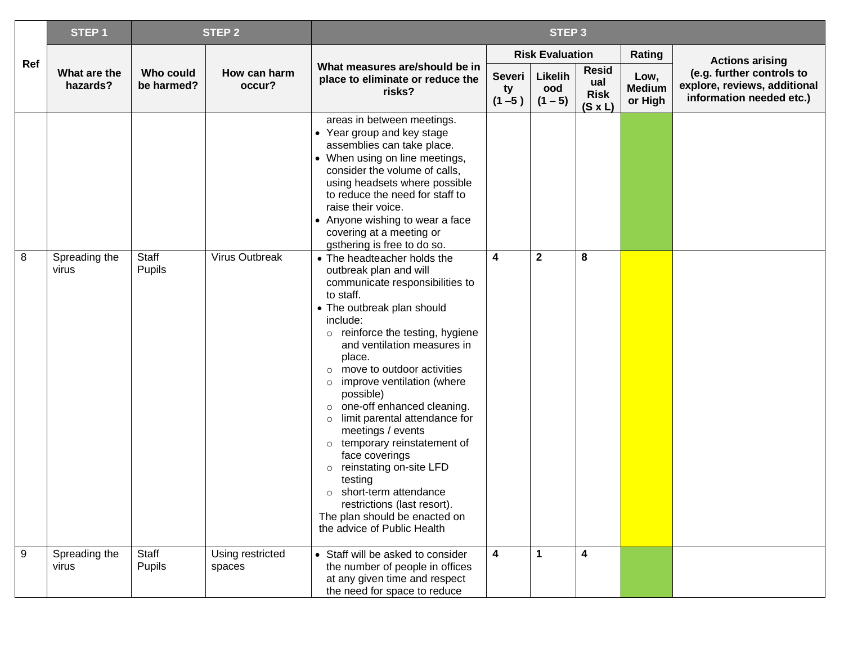|                | STEP <sub>1</sub>        |                         | <b>STEP 2</b>              | STEP <sub>3</sub>                                                                                                                                                                                                                                                                                                                                                                                                                                                                                                                                                                                                                       |                           |                             |                                                      |                                  |                                                                                       |
|----------------|--------------------------|-------------------------|----------------------------|-----------------------------------------------------------------------------------------------------------------------------------------------------------------------------------------------------------------------------------------------------------------------------------------------------------------------------------------------------------------------------------------------------------------------------------------------------------------------------------------------------------------------------------------------------------------------------------------------------------------------------------------|---------------------------|-----------------------------|------------------------------------------------------|----------------------------------|---------------------------------------------------------------------------------------|
|                |                          |                         |                            |                                                                                                                                                                                                                                                                                                                                                                                                                                                                                                                                                                                                                                         |                           | <b>Risk Evaluation</b>      |                                                      | Rating                           | <b>Actions arising</b>                                                                |
| Ref            | What are the<br>hazards? | Who could<br>be harmed? | How can harm<br>occur?     | What measures are/should be in<br>place to eliminate or reduce the<br>risks?                                                                                                                                                                                                                                                                                                                                                                                                                                                                                                                                                            | Severi<br>ty<br>$(1 - 5)$ | Likelih<br>ood<br>$(1 - 5)$ | <b>Resid</b><br>ual<br><b>Risk</b><br>$(S \times L)$ | Low,<br><b>Medium</b><br>or High | (e.g. further controls to<br>explore, reviews, additional<br>information needed etc.) |
|                |                          |                         |                            | areas in between meetings.<br>• Year group and key stage<br>assemblies can take place.<br>• When using on line meetings,<br>consider the volume of calls,<br>using headsets where possible<br>to reduce the need for staff to<br>raise their voice.<br>• Anyone wishing to wear a face<br>covering at a meeting or<br>gsthering is free to do so.                                                                                                                                                                                                                                                                                       |                           |                             |                                                      |                                  |                                                                                       |
| 8              | Spreading the<br>virus   | Staff<br>Pupils         | Virus Outbreak             | • The headteacher holds the<br>outbreak plan and will<br>communicate responsibilities to<br>to staff.<br>• The outbreak plan should<br>include:<br>o reinforce the testing, hygiene<br>and ventilation measures in<br>place.<br>o move to outdoor activities<br>$\circ$ improve ventilation (where<br>possible)<br>o one-off enhanced cleaning.<br>$\circ$ limit parental attendance for<br>meetings / events<br>o temporary reinstatement of<br>face coverings<br>o reinstating on-site LFD<br>testing<br>$\circ$ short-term attendance<br>restrictions (last resort).<br>The plan should be enacted on<br>the advice of Public Health | 4                         | $\mathbf 2$                 | 8                                                    |                                  |                                                                                       |
| $\overline{9}$ | Spreading the<br>virus   | Staff<br>Pupils         | Using restricted<br>spaces | • Staff will be asked to consider<br>the number of people in offices<br>at any given time and respect<br>the need for space to reduce                                                                                                                                                                                                                                                                                                                                                                                                                                                                                                   | 4                         | $\mathbf 1$                 | $\overline{\mathbf{4}}$                              |                                  |                                                                                       |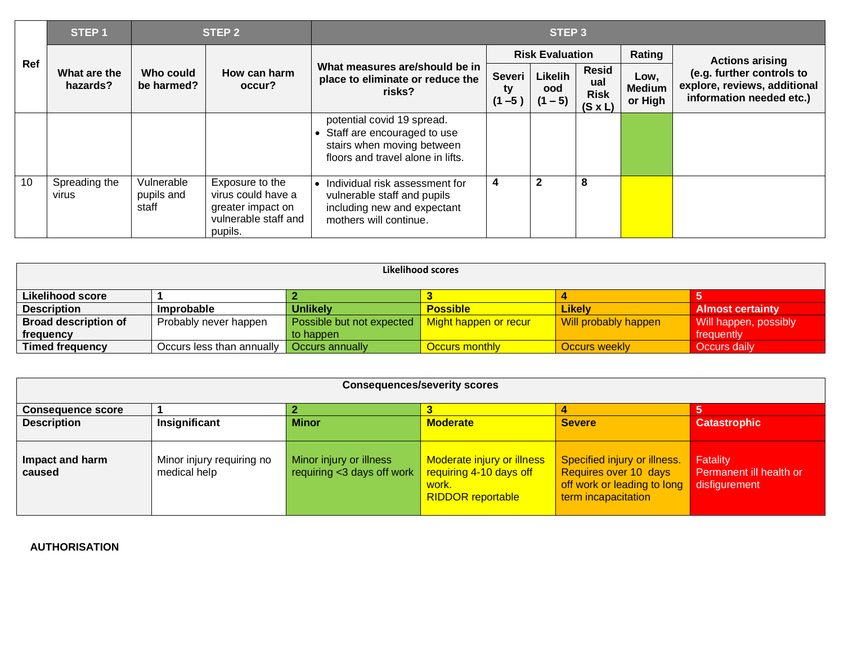|     | STEP <sub>1</sub>        |                                   | STEP <sub>2</sub>                                                                             | STEP <sub>3</sub>                                                                                                            |                                  |                             |                                                      |                                  |                                                                                       |  |  |
|-----|--------------------------|-----------------------------------|-----------------------------------------------------------------------------------------------|------------------------------------------------------------------------------------------------------------------------------|----------------------------------|-----------------------------|------------------------------------------------------|----------------------------------|---------------------------------------------------------------------------------------|--|--|
| Ref |                          |                                   | How can harm<br>occur?                                                                        |                                                                                                                              | <b>Risk Evaluation</b>           |                             |                                                      | Rating                           | <b>Actions arising</b>                                                                |  |  |
|     | What are the<br>hazards? | Who could<br>be harmed?           |                                                                                               | What measures are/should be in<br>place to eliminate or reduce the<br>risks?                                                 | <b>Severi</b><br>ty<br>$(1 - 5)$ | Likelih<br>ood<br>$(1 - 5)$ | <b>Resid</b><br>ual<br><b>Risk</b><br>$(S \times L)$ | Low,<br><b>Medium</b><br>or High | (e.g. further controls to<br>explore, reviews, additional<br>information needed etc.) |  |  |
|     |                          |                                   |                                                                                               | potential covid 19 spread.<br>Staff are encouraged to use<br>stairs when moving between<br>floors and travel alone in lifts. |                                  |                             |                                                      |                                  |                                                                                       |  |  |
| 10  | Spreading the<br>virus   | Vulnerable<br>pupils and<br>staff | Exposure to the<br>virus could have a<br>greater impact on<br>vulnerable staff and<br>pupils. | Individual risk assessment for<br>vulnerable staff and pupils<br>including new and expectant<br>mothers will continue.       | 4                                | $\overline{2}$              | 8                                                    |                                  |                                                                                       |  |  |

| Likelihood scores           |                           |                           |                       |                      |                         |  |  |  |  |  |
|-----------------------------|---------------------------|---------------------------|-----------------------|----------------------|-------------------------|--|--|--|--|--|
| <b>Likelihood score</b>     |                           |                           |                       |                      |                         |  |  |  |  |  |
| <b>Description</b>          | Improbable                | <b>Unlikely</b>           | <b>Possible</b>       | Likely               | <b>Almost certainty</b> |  |  |  |  |  |
| <b>Broad description of</b> | Probably never happen     | Possible but not expected | Might happen or recur | Will probably happen | Will happen, possibly   |  |  |  |  |  |
| frequency                   |                           | to happen                 |                       |                      | frequently              |  |  |  |  |  |
| Timed frequency             | Occurs less than annually | <b>Occurs annually</b>    | <b>Occurs monthly</b> | Occurs weekly        | Occurs daily            |  |  |  |  |  |

| <b>Consequences/severity scores</b> |                                           |                                                       |                                                                                            |                                                                                                             |                                                      |  |  |  |  |
|-------------------------------------|-------------------------------------------|-------------------------------------------------------|--------------------------------------------------------------------------------------------|-------------------------------------------------------------------------------------------------------------|------------------------------------------------------|--|--|--|--|
| <b>Consequence score</b>            |                                           |                                                       |                                                                                            |                                                                                                             |                                                      |  |  |  |  |
| <b>Description</b>                  | Insignificant                             | <b>Minor</b>                                          | <b>Moderate</b>                                                                            | <b>Severe</b>                                                                                               | <b>Catastrophic</b>                                  |  |  |  |  |
| Impact and harm<br>caused           | Minor injury requiring no<br>medical help | Minor injury or illness<br>requiring <3 days off work | Moderate injury or illness<br>requiring 4-10 days off<br>work.<br><b>RIDDOR</b> reportable | Specified injury or illness.<br>Requires over 10 days<br>off work or leading to long<br>term incapacitation | Fatality<br>Permanent ill health or<br>disfigurement |  |  |  |  |

## **AUTHORISATION**